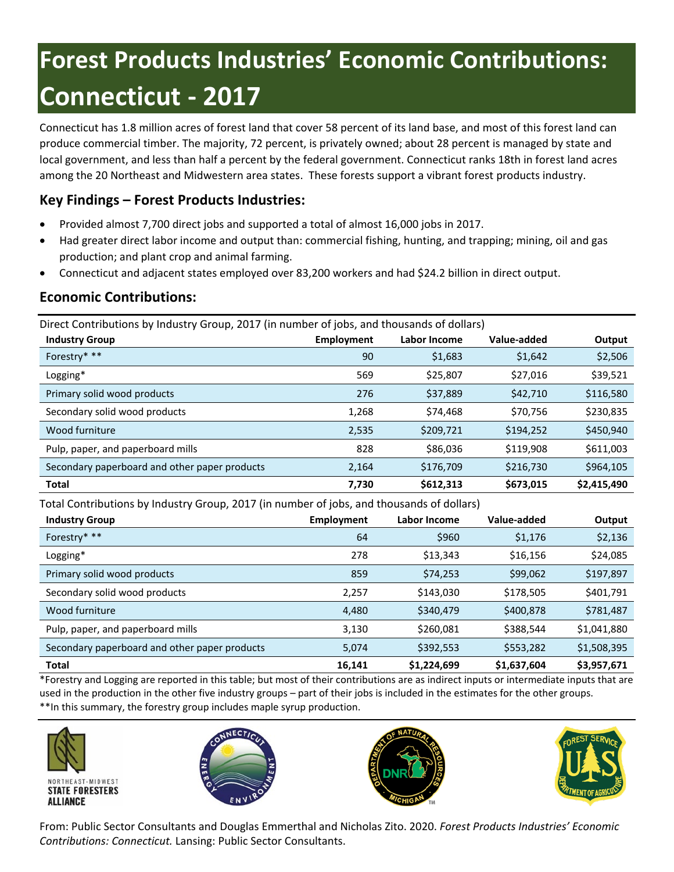# **Forest Products Industries' Economic Contributions: Connecticut - 2017**

Connecticut has 1.8 million acres of forest land that cover 58 percent of its land base, and most of this forest land can produce commercial timber. The majority, 72 percent, is privately owned; about 28 percent is managed by state and local government, and less than half a percent by the federal government. Connecticut ranks 18th in forest land acres among the 20 Northeast and Midwestern area states. These forests support a vibrant forest products industry.

# **Key Findings – Forest Products Industries:**

- Provided almost 7,700 direct jobs and supported a total of almost 16,000 jobs in 2017.
- Had greater direct labor income and output than: commercial fishing, hunting, and trapping; mining, oil and gas production; and plant crop and animal farming.
- Connecticut and adjacent states employed over 83,200 workers and had \$24.2 billion in direct output.

## **Economic Contributions:**

Direct Contributions by Industry Group, 2017 (in number of jobs, and thousands of dollars)

| <b>Industry Group</b>                         | Employment | Labor Income | Value-added | Output      |
|-----------------------------------------------|------------|--------------|-------------|-------------|
| Forestry* **                                  | 90         | \$1,683      | \$1,642     | \$2,506     |
| Logging*                                      | 569        | \$25,807     | \$27,016    | \$39,521    |
| Primary solid wood products                   | 276        | \$37,889     | \$42,710    | \$116,580   |
| Secondary solid wood products                 | 1,268      | \$74,468     | \$70,756    | \$230,835   |
| Wood furniture                                | 2,535      | \$209,721    | \$194,252   | \$450,940   |
| Pulp, paper, and paperboard mills             | 828        | \$86,036     | \$119,908   | \$611,003   |
| Secondary paperboard and other paper products | 2,164      | \$176,709    | \$216,730   | \$964,105   |
| <b>Total</b>                                  | 7,730      | \$612,313    | \$673,015   | \$2,415,490 |

Total Contributions by Industry Group, 2017 (in number of jobs, and thousands of dollars)

| <b>Industry Group</b>                         | <b>Employment</b> | Labor Income | Value-added | Output      |
|-----------------------------------------------|-------------------|--------------|-------------|-------------|
| Forestry* **                                  | 64                | \$960        | \$1,176     | \$2,136     |
| Logging*                                      | 278               | \$13,343     | \$16,156    | \$24,085    |
| Primary solid wood products                   | 859               | \$74,253     | \$99,062    | \$197,897   |
| Secondary solid wood products                 | 2.257             | \$143,030    | \$178,505   | \$401,791   |
| Wood furniture                                | 4,480             | \$340,479    | \$400,878   | \$781,487   |
| Pulp, paper, and paperboard mills             | 3,130             | \$260,081    | \$388,544   | \$1,041,880 |
| Secondary paperboard and other paper products | 5,074             | \$392,553    | \$553,282   | \$1,508,395 |
| <b>Total</b>                                  | 16,141            | \$1,224,699  | \$1,637,604 | \$3,957,671 |

\*Forestry and Logging are reported in this table; but most of their contributions are as indirect inputs or intermediate inputs that are used in the production in the other five industry groups – part of their jobs is included in the estimates for the other groups. \*\*In this summary, the forestry group includes maple syrup production.









From: Public Sector Consultants and Douglas Emmerthal and Nicholas Zito. 2020. *Forest Products Industries' Economic Contributions: Connecticut.* Lansing: Public Sector Consultants.